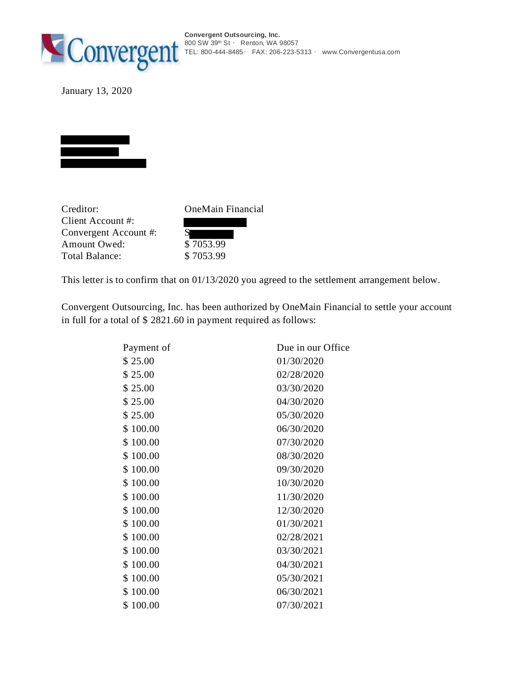

January 13, 2020



Creditor: OneMain Financial Client Account #: Convergent Account #: S Amount Owed: \$ 7053.99 Total Balance: \$7053.99

This letter is to confirm that on 01/13/2020 you agreed to the settlement arrangement below.

Convergent Outsourcing, Inc. has been authorized by OneMain Financial to settle your account in full for a total of \$ 2821.60 in payment required as follows:

| Payment of   | Due in our Office |  |
|--------------|-------------------|--|
| \$25.00      | 01/30/2020        |  |
| \$25.00      | 02/28/2020        |  |
| \$25.00      | 03/30/2020        |  |
| \$25.00      | 04/30/2020        |  |
| \$25.00      | 05/30/2020        |  |
| \$100.00     | 06/30/2020        |  |
| \$100.00     | 07/30/2020        |  |
| \$100.00     | 08/30/2020        |  |
| \$100.00     | 09/30/2020        |  |
| \$100.00     | 10/30/2020        |  |
| \$100.00     | 11/30/2020        |  |
| \$100.00     | 12/30/2020        |  |
| \$100.00     | 01/30/2021        |  |
| \$100.00     | 02/28/2021        |  |
| \$100.00     | 03/30/2021        |  |
| \$100.00     | 04/30/2021        |  |
| \$100.00     | 05/30/2021        |  |
| \$100.00     | 06/30/2021        |  |
| \$<br>100.00 | 07/30/2021        |  |
|              |                   |  |